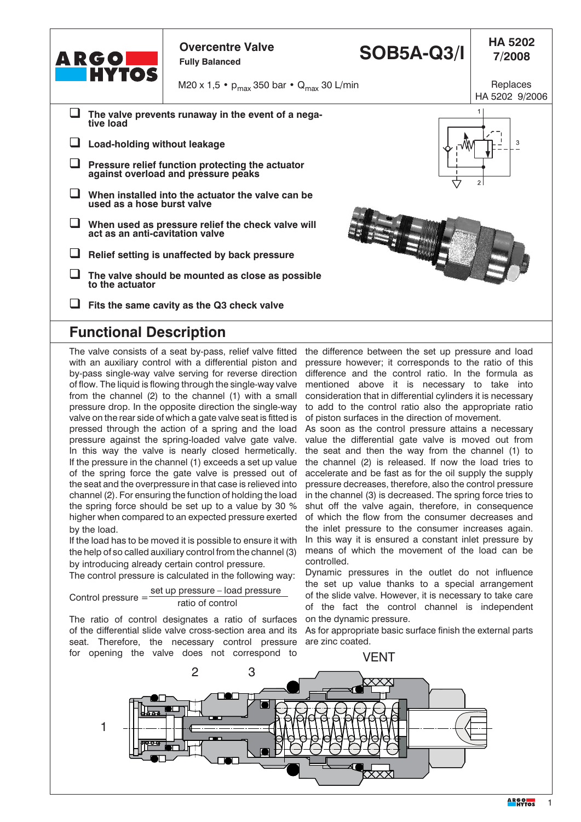| ARGO<br><b>HYTOS</b>                                                                    | <b>Overcentre Valve</b><br><b>Fully Balanced</b>   | <b>SOB5A-Q3/I</b> | <b>HA 5202</b><br>7/2008   |
|-----------------------------------------------------------------------------------------|----------------------------------------------------|-------------------|----------------------------|
|                                                                                         | M20 x 1,5 • $p_{max}$ 350 bar • $Q_{max}$ 30 L/min |                   | Replaces<br>HA 5202 9/2006 |
| The valve prevents runaway in the event of a nega-<br>tive load                         |                                                    |                   |                            |
| Load-holding without leakage<br>3                                                       |                                                    |                   |                            |
| Pressure relief function protecting the actuator<br>against overload and pressure peaks |                                                    |                   | 2 <sup>1</sup>             |
| When installed into the actuator the valve can be<br>used as a hose burst valve         |                                                    |                   |                            |
| When used as pressure relief the check valve will<br>act as an anti-cavitation valve    |                                                    |                   |                            |
| Relief setting is unaffected by back pressure                                           |                                                    |                   |                            |
| The valve should be mounted as close as possible<br>to the actuator                     |                                                    |                   |                            |
| Fits the same cavity as the Q3 check valve                                              |                                                    |                   |                            |

#### **Functional Description**

with an auxiliary control with a differential piston and pressure however; it corresponds to the ratio of this by-pass single-way valve serving for reverse direction difference and the control ratio. In the formula as of flow. The liquid is flowing through the single-way valve from the channel (2) to the channel (1) with a small pressure drop. In the opposite direction the single-way valve on the rear side of which a gate valve seat is fitted is pressed through the action of a spring and the load pressure against the spring-loaded valve gate valve. In this way the valve is nearly closed hermetically. If the pressure in the channel (1) exceeds a set up value of the spring force the gate valve is pressed out of the seat and the overpressure in that case is relieved into channel (2). For ensuring the function of holding the load the spring force should be set up to a value by 30 % higher when compared to an expected pressure exerted by the load.

If the load has to be moved it is possible to ensure it with the help of so called auxiliary control from the channel (3) by introducing already certain control pressure.

The control pressure is calculated in the following way:

Control pressure = 
$$
\frac{\text{set up pressure} - \text{load pressure}}{\text{ratio of control}}
$$

The ratio of control designates a ratio of surfaces of the differential slide valve cross-section area and its seat. Therefore, the necessary control pressure for opening the valve does not correspond to

The valve consists of a seat by-pass, relief valve fitted the difference between the set up pressure and load mentioned above it is necessary to take into consideration that in differential cylinders it is necessary to add to the control ratio also the appropriate ratio of piston surfaces in the direction of movement.

> As soon as the control pressure attains a necessary value the differential gate valve is moved out from the seat and then the way from the channel (1) to the channel (2) is released. If now the load tries to accelerate and be fast as for the oil supply the supply pressure decreases, therefore, also the control pressure in the channel (3) is decreased. The spring force tries to shut off the valve again, therefore, in consequence of which the flow from the consumer decreases and the inlet pressure to the consumer increases again. In this way it is ensured a constant inlet pressure by means of which the movement of the load can be controlled.

> Dynamic pressures in the outlet do not influence the set up value thanks to a special arrangement of the slide valve. However, it is necessary to take care of the fact the control channel is independent on the dynamic pressure.

> As for appropriate basic surface finish the external parts are zinc coated.

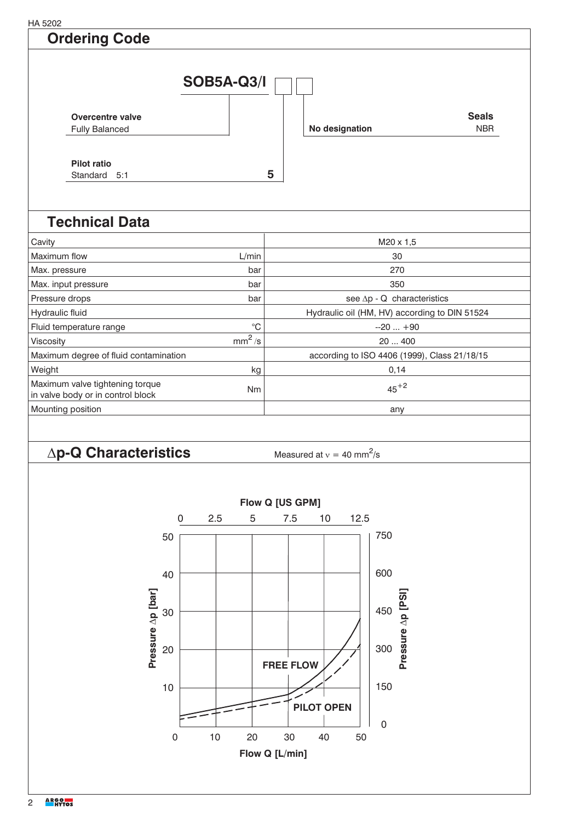HA 5202

#### **Ordering Code**



## **Technical Data**

| Cavity                                                                            |             | M20 x 1.5                                     |  |
|-----------------------------------------------------------------------------------|-------------|-----------------------------------------------|--|
| Maximum flow                                                                      | L/min       | 30                                            |  |
| Max. pressure                                                                     | bar         | 270                                           |  |
| Max. input pressure                                                               | bar         | 350                                           |  |
| Pressure drops                                                                    | bar         | see $\Delta p - Q$ characteristics            |  |
| Hydraulic fluid                                                                   |             | Hydraulic oil (HM, HV) according to DIN 51524 |  |
| Fluid temperature range                                                           | $^{\circ}C$ | $-20+90$                                      |  |
| <b>Viscosity</b>                                                                  | $mm^2/s$    | 20400                                         |  |
| Maximum degree of fluid contamination                                             |             | according to ISO 4406 (1999), Class 21/18/15  |  |
| Weight<br>kg                                                                      |             | 0,14                                          |  |
| Maximum valve tightening torque<br><b>Nm</b><br>in valve body or in control block |             | $45+2$                                        |  |
| Mounting position                                                                 |             | any                                           |  |

## $\Delta p$ **-Q Characteristics** Measured at  $v = 40$  mm<sup>2</sup>

Measured at  $v = 40$  mm<sup>2</sup>/s

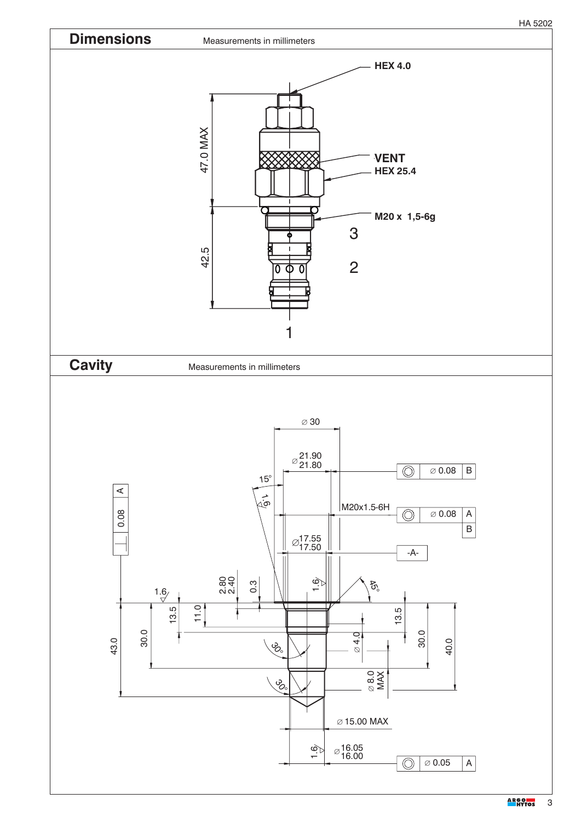